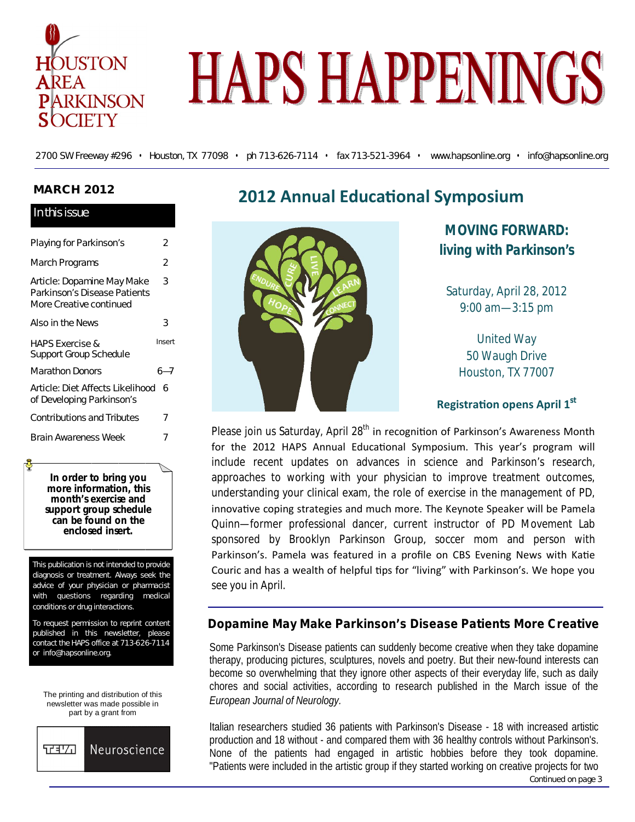

# **HAPS HAPPENINGS**

2700 SW Freeway #296 • Houston, TX 77098 • ph 713-626-7114 • fax 713-521-3964 • www.hapsonline.org • info@hapsonline.org

# **MARCH 2012**

## In this issue

| Playing for Parkinson's                                                               | 2      |
|---------------------------------------------------------------------------------------|--------|
| March Programs                                                                        | 2      |
| Article: Dopamine May Make<br>Parkinson's Disease Patients<br>More Creative continued | 3      |
| Also in the News                                                                      | 3      |
| <b>HAPS Exercise &amp;</b><br><b>Support Group Schedule</b>                           | Insert |
| Marathon Donors                                                                       | 6—7    |
| Article: Diet Affects Likelihood<br>of Developing Parkinson's                         | h      |
| <b>Contributions and Tributes</b>                                                     | 7      |
| Brain Awareness Week                                                                  |        |

**In order to bring you more information, this month's exercise and support group schedule can be found on the enclosed insert.** 

This publication is not intended to provide diagnosis or treatment. Always seek the advice of your physician or pharmacist with questions regarding medical conditions or drug interactions.

To request permission to reprint content published in this newsletter, please contact the HAPS office at 713-626-7114 or info@hapsonline.org.

The printing and distribution of this newsletter was made possible in part by a grant from



# **2012 Annual Educational Symposium**



**MOVING FORWARD:** *living with Parkinson's*

Saturday, April 28, 2012 9:00 am—3:15 pm

United Way 50 Waugh Drive Houston, TX 77007

# **RegistraƟon opens April 1st**

Please join us Saturday, April 28<sup>th</sup> in recognition of Parkinson's Awareness Month for the 2012 HAPS Annual Educational Symposium. This year's program will include recent updates on advances in science and Parkinson's research, approaches to working with your physician to improve treatment outcomes, understanding your clinical exam, the role of exercise in the management of PD, innovative coping strategies and much more. The Keynote Speaker will be Pamela Quinn—former professional dancer, current instructor of PD Movement Lab sponsored by Brooklyn Parkinson Group, soccer mom and person with Parkinson's. Pamela was featured in a profile on CBS Evening News with Katie Couric and has a wealth of helpful tips for "living" with Parkinson's. We hope you see you in April.

# **Dopamine May Make Parkinson's Disease Patients More Creative**

Some Parkinson's Disease patients can suddenly become creative when they take dopamine therapy, producing pictures, sculptures, novels and poetry. But their new-found interests can become so overwhelming that they ignore other aspects of their everyday life, such as daily chores and social activities, according to research published in the March issue of the *European Journal of Neurology.*

Italian researchers studied 36 patients with Parkinson's Disease - 18 with increased artistic production and 18 without - and compared them with 36 healthy controls without Parkinson's. None of the patients had engaged in artistic hobbies before they took dopamine. "Patients were included in the artistic group if they started working on creative projects for two Continued on page 3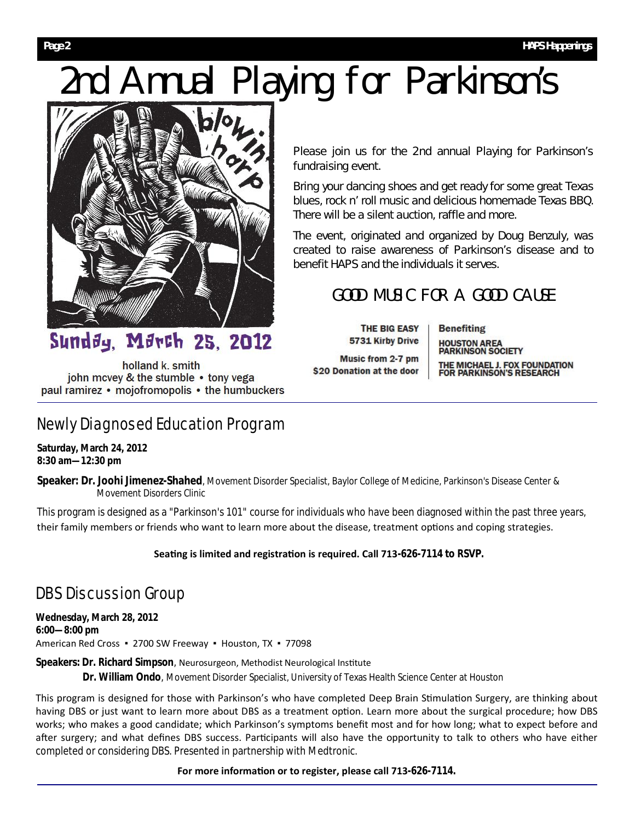# 2nd Annual Playing for Parkinson's



Please join us for the 2nd annual Playing for Parkinson's fundraising event.

Bring your dancing shoes and get ready for some great Texas blues, rock n' roll music and delicious homemade Texas BBQ. There will be a silent auction, raffle and more.

The event, originated and organized by Doug Benzuly, was created to raise awareness of Parkinson's disease and to benefit HAPS and the individuals it serves.

# GOOD MUSIC FOR A GOOD CAUSE

THE BIG EASY 5731 Kirby Drive

Music from 2-7 pm \$20 Donation at the door

**Benefiting HOUSTON AREA<br>PARKINSON SOCIETY** THE MICHAEL J. FOX FOUNDATION<br>FOR PARKINSON'S RESEARCH

holland k. smith john mcvey & the stumble • tony vega paul ramirez • mojofromopolis • the humbuckers

Mørch 25, 2012

# Newly Diagnosed Education Program

**Saturday, March 24, 2012 8:30 am—12:30 pm** 

**Speaker: Dr. Joohi Jimenez-Shahed**, Movement Disorder Specialist, Baylor College of Medicine, Parkinson's Disease Center & Movement Disorders Clinic

This program is designed as a "Parkinson's 101" course for individuals who have been diagnosed within the past three years, their family members or friends who want to learn more about the disease, treatment options and coping strategies.

# Seating is limited and registration is required. Call 713-626-7114 to RSVP.

# DBS Discussion Group

**Wednesday, March 28, 2012 6:00—8:00 pm**  American Red Cross ▪ 2700 SW Freeway ▪ Houston, TX ▪ 77098

## Speakers: Dr. Richard Simpson, Neurosurgeon, Methodist Neurological Institute

**Dr. William Ondo**, Movement Disorder Specialist, University of Texas Health Science Center at Houston

This program is designed for those with Parkinson's who have completed Deep Brain Stimulation Surgery, are thinking about having DBS or just want to learn more about DBS as a treatment option. Learn more about the surgical procedure; how DBS works; who makes a good candidate; which Parkinson's symptoms benefit most and for how long; what to expect before and after surgery; and what defines DBS success. Participants will also have the opportunity to talk to others who have either completed or considering DBS. Presented in partnership with Medtronic.

#### For more information or to register, please call 713-626-7114.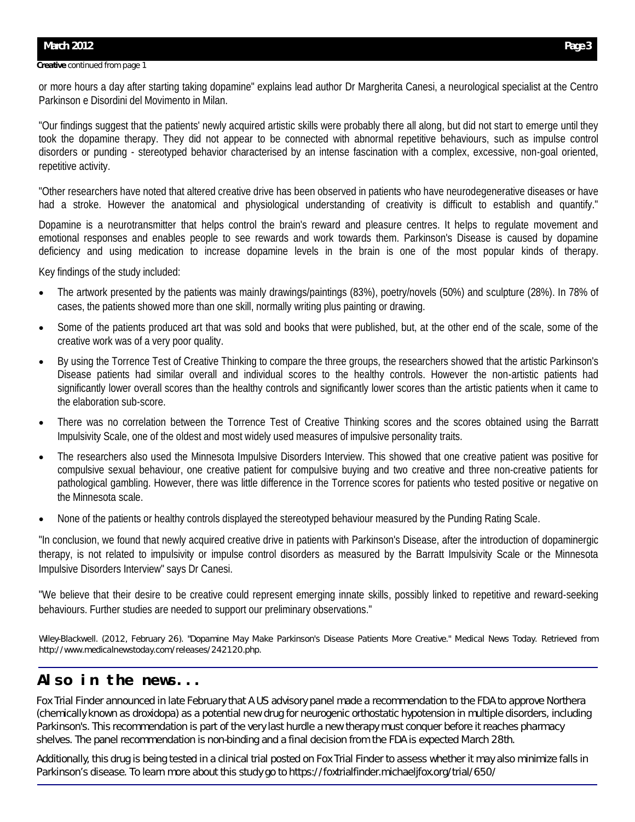#### **Creative** continued from page 1

or more hours a day after starting taking dopamine" explains lead author Dr Margherita Canesi, a neurological specialist at the Centro Parkinson e Disordini del Movimento in Milan.

"Our findings suggest that the patients' newly acquired artistic skills were probably there all along, but did not start to emerge until they took the dopamine therapy. They did not appear to be connected with abnormal repetitive behaviours, such as impulse control disorders or punding - stereotyped behavior characterised by an intense fascination with a complex, excessive, non-goal oriented, repetitive activity.

"Other researchers have noted that altered creative drive has been observed in patients who have neurodegenerative diseases or have had a stroke. However the anatomical and physiological understanding of creativity is difficult to establish and quantify."

Dopamine is a neurotransmitter that helps control the brain's reward and pleasure centres. It helps to regulate movement and emotional responses and enables people to see rewards and work towards them. Parkinson's Disease is caused by dopamine deficiency and using medication to increase dopamine levels in the brain is one of the most popular kinds of therapy.

Key findings of the study included:

- The artwork presented by the patients was mainly drawings/paintings (83%), poetry/novels (50%) and sculpture (28%). In 78% of cases, the patients showed more than one skill, normally writing plus painting or drawing.
- Some of the patients produced art that was sold and books that were published, but, at the other end of the scale, some of the creative work was of a very poor quality.
- By using the Torrence Test of Creative Thinking to compare the three groups, the researchers showed that the artistic Parkinson's Disease patients had similar overall and individual scores to the healthy controls. However the non-artistic patients had significantly lower overall scores than the healthy controls and significantly lower scores than the artistic patients when it came to the elaboration sub-score.
- There was no correlation between the Torrence Test of Creative Thinking scores and the scores obtained using the Barratt Impulsivity Scale, one of the oldest and most widely used measures of impulsive personality traits.
- The researchers also used the Minnesota Impulsive Disorders Interview. This showed that one creative patient was positive for compulsive sexual behaviour, one creative patient for compulsive buying and two creative and three non-creative patients for pathological gambling. However, there was little difference in the Torrence scores for patients who tested positive or negative on the Minnesota scale.
- None of the patients or healthy controls displayed the stereotyped behaviour measured by the Punding Rating Scale.

"In conclusion, we found that newly acquired creative drive in patients with Parkinson's Disease, after the introduction of dopaminergic therapy, is not related to impulsivity or impulse control disorders as measured by the Barratt Impulsivity Scale or the Minnesota Impulsive Disorders Interview" says Dr Canesi.

"We believe that their desire to be creative could represent emerging innate skills, possibly linked to repetitive and reward-seeking behaviours. Further studies are needed to support our preliminary observations."

*Wiley-Blackwell. (2012, February 26). "Dopamine May Make Parkinson's Disease Patients More Creative." Medical News Today. Retrieved from http://www.medicalnewstoday.com/releases/242120.php.* 

# **Also in the news...**

Fox Trial Finder announced in late February that A US advisory panel made a recommendation to the FDA to approve Northera (chemically known as droxidopa) as a potential new drug for neurogenic orthostatic hypotension in multiple disorders, including Parkinson's. This recommendation is part of the very last hurdle a new therapy must conquer before it reaches pharmacy shelves. The panel recommendation is non-binding and a final decision from the FDA is expected March 28th.

Additionally, this drug is being tested in a clinical trial posted on Fox Trial Finder to assess whether it may also minimize falls in Parkinson's disease. To learn more about this study go to https://foxtrialfinder.michaeljfox.org/trial/650/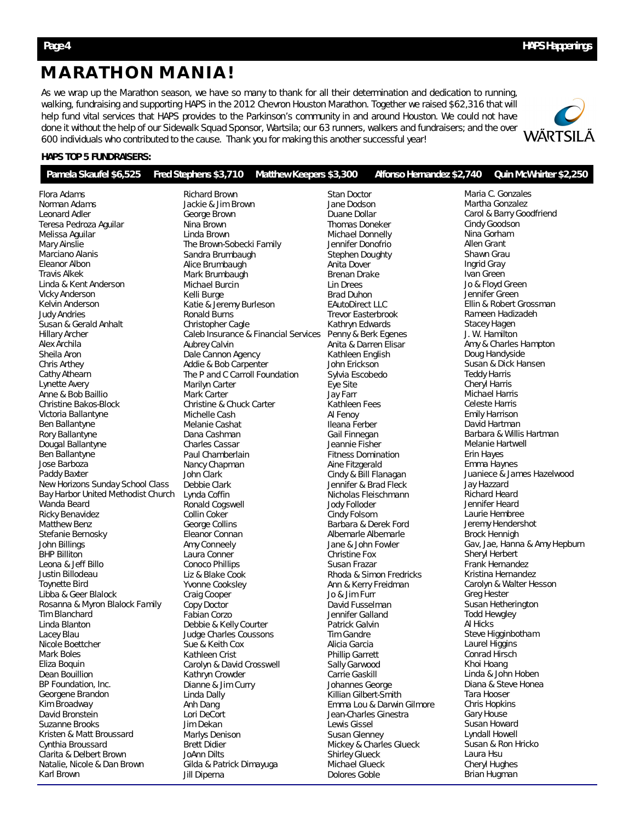# **MARATHON MANIA!**

As we wrap up the Marathon season, we have so many to thank for all their determination and dedication to running, walking, fundraising and supporting HAPS in the 2012 Chevron Houston Marathon. Together we raised \$62,316 that will help fund vital services that HAPS provides to the Parkinson's community in and around Houston. We could not have done it without the help of our Sidewalk Squad Sponsor, Wartsila; our 63 runners, walkers and fundraisers; and the over 600 individuals who contributed to the cause. Thank you for making this another successful year!



#### **HAPS TOP 5 FUNDRAISERS:**

| Maria C. Gonzales<br>Flora Adams<br><b>Richard Brown</b><br><b>Stan Doctor</b><br>Norman Adams<br>Martha Gonzalez<br>Jackie & Jim Brown<br>Jane Dodson<br>Carol & Barry Goodfriend<br>Leonard Adler<br>George Brown<br>Duane Dollar<br>Cindy Goodson<br>Teresa Pedroza Aguilar<br>Nina Brown<br>Thomas Doneker<br>Nina Gorham<br>Melissa Aguilar<br>Linda Brown<br>Michael Donnelly<br>Allen Grant<br>Mary Ainslie<br>The Brown-Sobecki Family<br>Jennifer Donofrio<br>Shawn Grau<br>Marciano Alanis<br>Sandra Brumbaugh<br><b>Stephen Doughty</b><br>Ingrid Gray<br>Eleanor Albon<br>Alice Brumbaugh<br>Anita Dover<br><b>Travis Alkek</b><br>Ivan Green<br>Mark Brumbaugh<br><b>Brenan Drake</b><br>Jo & Floyd Green<br>Linda & Kent Anderson<br>Michael Burcin<br>Lin Drees<br>Jennifer Green<br><b>Vicky Anderson</b><br>Kelli Burge<br><b>Brad Duhon</b><br>Ellin & Robert Grossman<br>Katie & Jeremy Burleson<br><b>EAutoDirect LLC</b><br>Kelvin Anderson<br><b>Ronald Burns</b><br>Rameen Hadizadeh<br>Judy Andries<br><b>Trevor Easterbrook</b><br><b>Stacey Hagen</b><br>Susan & Gerald Anhalt<br>Christopher Cagle<br>Kathryn Edwards<br>Caleb Insurance & Financial Services Penny & Berk Egenes<br>J. W. Hamilton<br><b>Hillary Archer</b><br>Alex Archila<br>Aubrey Calvin<br>Anita & Darren Elisar<br>Amy & Charles Hampton<br>Sheila Aron<br>Dale Cannon Agency<br>Doug Handyside<br>Kathleen English<br>Susan & Dick Hansen<br>Chris Arthey<br>Addie & Bob Carpenter<br>John Erickson<br><b>Teddy Harris</b><br>Cathy Athearn<br>The P and C Carroll Foundation<br>Sylvia Escobedo<br><b>Cheryl Harris</b><br>Lynette Avery<br>Marilyn Carter<br>Eye Site<br><b>Michael Harris</b><br>Anne & Bob Baillio<br>Mark Carter<br>Jay Farr<br>Christine Bakos-Block<br><b>Celeste Harris</b><br>Christine & Chuck Carter<br>Kathleen Fees<br>Victoria Ballantyne<br>Michelle Cash<br>Al Fenoy<br><b>Emily Harrison</b><br>Ben Ballantyne<br>David Hartman<br>Ileana Ferber<br>Melanie Cashat<br>Barbara & Willis Hartman<br>Rory Ballantyne<br>Dana Cashman<br>Gail Finnegan<br>Dougal Ballantyne<br>Melanie Hartwell<br>Charles Cassar<br>Jeannie Fisher<br>Erin Hayes<br>Ben Ballantyne<br>Paul Chamberlain<br><b>Fitness Domination</b><br>Emma Haynes<br>Jose Barboza<br>Nancy Chapman<br>Aine Fitzgerald<br>Juaniece & James Hazelwood<br>Cindy & Bill Flanagan<br>Paddy Baxter<br>John Clark<br>New Horizons Sunday School Class<br>Debbie Clark<br>Jennifer & Brad Fleck<br>Jay Hazzard<br>Bay Harbor United Methodist Church<br><b>Richard Heard</b><br>Lynda Coffin<br>Nicholas Fleischmann<br>Jennifer Heard<br>Wanda Beard<br>Ronald Cogswell<br>Jody Folloder<br><b>Ricky Benavidez</b><br>Collin Coker<br>Laurie Hembree<br>Cindy Folsom<br><b>Matthew Benz</b><br>George Collins<br>Jeremy Hendershot<br>Barbara & Derek Ford<br>Stefanie Bernosky<br><b>Brock Hennigh</b><br>Eleanor Connan<br>Albemarle Albemarle<br>Gav, Jae, Hanna & Amy Hepburn<br>John Billings<br>Amy Conneely<br>Jane & John Fowler<br>Sheryl Herbert<br><b>BHP Billiton</b><br>Laura Conner<br><b>Christine Fox</b><br>Frank Hernandez<br>Leona & Jeff Billo<br><b>Conoco Phillips</b><br>Susan Frazar<br>Kristina Hernandez<br>Justin Billodeau<br>Liz & Blake Cook<br>Rhoda & Simon Fredricks<br>Carolyn & Walter Hesson<br>Toynette Bird<br>Yvonne Cooksley<br>Ann & Kerry Freidman<br>Jo & Jim Furr<br><b>Greg Hester</b><br>Libba & Geer Blalock<br>Craig Cooper<br>Susan Hetherington<br>Rosanna & Myron Blalock Family<br>Copy Doctor<br>David Fusselman<br><b>Todd Hewgley</b><br>Tim Blanchard<br>Fabian Corzo<br>Jennifer Galland<br>Linda Blanton<br>Al Hicks<br>Debbie & Kelly Courter<br>Patrick Galvin<br>Steve Higginbotham<br>Lacey Blau<br>Judge Charles Coussons<br><b>Tim Gandre</b><br>Laurel Higgins<br>Nicole Boettcher<br>Sue & Keith Cox<br>Alicia Garcia<br>Conrad Hirsch<br>Mark Boles<br>Kathleen Crist<br><b>Phillip Garrett</b><br>Khoi Hoang<br>Carolyn & David Crosswell<br>Eliza Boquin<br>Sally Garwood<br>Linda & John Hoben<br>Dean Bouillion<br>Kathryn Crowder<br>Carrie Gaskill<br>Diana & Steve Honea<br>BP Foundation, Inc.<br>Dianne & Jim Curry<br>Johannes George<br>Tara Hooser<br>Georgene Brandon<br>Killian Gilbert-Smith<br>Linda Dally<br>Chris Hopkins<br>Kim Broadway<br>Emma Lou & Darwin Gilmore<br>Anh Dang<br>David Bronstein<br>Gary House<br>Lori DeCort<br>Jean-Charles Ginestra<br>Susan Howard<br>Suzanne Brooks<br>Jim Dekan<br>Lewis Gissel<br>Lyndall Howell<br>Kristen & Matt Broussard<br>Marlys Denison<br><b>Susan Glenney</b><br>Susan & Ron Hricko<br><b>Brett Didier</b><br>Mickey & Charles Glueck<br>Cynthia Broussard<br>Clarita & Delbert Brown<br>Laura Hsu<br>JoAnn Dilts<br><b>Shirley Glueck</b><br>Cheryl Hughes<br>Natalie, Nicole & Dan Brown<br>Gilda & Patrick Dimayuga<br>Michael Glueck<br>Karl Brown<br>Dolores Goble<br>Brian Hugman<br>Jill Diperna | Pamela Skaufel \$6,525 | Fred Stephens \$3,710<br><b>Matthew Keepers \$3,300</b> | Alfonso Hernandez \$2,740 Quin McWhirter \$2,250 |
|----------------------------------------------------------------------------------------------------------------------------------------------------------------------------------------------------------------------------------------------------------------------------------------------------------------------------------------------------------------------------------------------------------------------------------------------------------------------------------------------------------------------------------------------------------------------------------------------------------------------------------------------------------------------------------------------------------------------------------------------------------------------------------------------------------------------------------------------------------------------------------------------------------------------------------------------------------------------------------------------------------------------------------------------------------------------------------------------------------------------------------------------------------------------------------------------------------------------------------------------------------------------------------------------------------------------------------------------------------------------------------------------------------------------------------------------------------------------------------------------------------------------------------------------------------------------------------------------------------------------------------------------------------------------------------------------------------------------------------------------------------------------------------------------------------------------------------------------------------------------------------------------------------------------------------------------------------------------------------------------------------------------------------------------------------------------------------------------------------------------------------------------------------------------------------------------------------------------------------------------------------------------------------------------------------------------------------------------------------------------------------------------------------------------------------------------------------------------------------------------------------------------------------------------------------------------------------------------------------------------------------------------------------------------------------------------------------------------------------------------------------------------------------------------------------------------------------------------------------------------------------------------------------------------------------------------------------------------------------------------------------------------------------------------------------------------------------------------------------------------------------------------------------------------------------------------------------------------------------------------------------------------------------------------------------------------------------------------------------------------------------------------------------------------------------------------------------------------------------------------------------------------------------------------------------------------------------------------------------------------------------------------------------------------------------------------------------------------------------------------------------------------------------------------------------------------------------------------------------------------------------------------------------------------------------------------------------------------------------------------------------------------------------------------------------------------------------------------------------------------------------------------------------------------------------------------------------------------------------------------------------------------------------------------------------------------------------------------------------------------------------------------------------------------------------------------------------------------------------------------------------------------------------------------------------------------------------------------------------------------------------------------------------------------------------------------------------------------------------------------------------------------------------------------------------------------------------------------------------------------------------------------------------------------------------------------|------------------------|---------------------------------------------------------|--------------------------------------------------|
|                                                                                                                                                                                                                                                                                                                                                                                                                                                                                                                                                                                                                                                                                                                                                                                                                                                                                                                                                                                                                                                                                                                                                                                                                                                                                                                                                                                                                                                                                                                                                                                                                                                                                                                                                                                                                                                                                                                                                                                                                                                                                                                                                                                                                                                                                                                                                                                                                                                                                                                                                                                                                                                                                                                                                                                                                                                                                                                                                                                                                                                                                                                                                                                                                                                                                                                                                                                                                                                                                                                                                                                                                                                                                                                                                                                                                                                                                                                                                                                                                                                                                                                                                                                                                                                                                                                                                                                                                                                                                                                                                                                                                                                                                                                                                                                                                                                                                                                                              |                        |                                                         |                                                  |
|                                                                                                                                                                                                                                                                                                                                                                                                                                                                                                                                                                                                                                                                                                                                                                                                                                                                                                                                                                                                                                                                                                                                                                                                                                                                                                                                                                                                                                                                                                                                                                                                                                                                                                                                                                                                                                                                                                                                                                                                                                                                                                                                                                                                                                                                                                                                                                                                                                                                                                                                                                                                                                                                                                                                                                                                                                                                                                                                                                                                                                                                                                                                                                                                                                                                                                                                                                                                                                                                                                                                                                                                                                                                                                                                                                                                                                                                                                                                                                                                                                                                                                                                                                                                                                                                                                                                                                                                                                                                                                                                                                                                                                                                                                                                                                                                                                                                                                                                              |                        |                                                         |                                                  |
|                                                                                                                                                                                                                                                                                                                                                                                                                                                                                                                                                                                                                                                                                                                                                                                                                                                                                                                                                                                                                                                                                                                                                                                                                                                                                                                                                                                                                                                                                                                                                                                                                                                                                                                                                                                                                                                                                                                                                                                                                                                                                                                                                                                                                                                                                                                                                                                                                                                                                                                                                                                                                                                                                                                                                                                                                                                                                                                                                                                                                                                                                                                                                                                                                                                                                                                                                                                                                                                                                                                                                                                                                                                                                                                                                                                                                                                                                                                                                                                                                                                                                                                                                                                                                                                                                                                                                                                                                                                                                                                                                                                                                                                                                                                                                                                                                                                                                                                                              |                        |                                                         |                                                  |
|                                                                                                                                                                                                                                                                                                                                                                                                                                                                                                                                                                                                                                                                                                                                                                                                                                                                                                                                                                                                                                                                                                                                                                                                                                                                                                                                                                                                                                                                                                                                                                                                                                                                                                                                                                                                                                                                                                                                                                                                                                                                                                                                                                                                                                                                                                                                                                                                                                                                                                                                                                                                                                                                                                                                                                                                                                                                                                                                                                                                                                                                                                                                                                                                                                                                                                                                                                                                                                                                                                                                                                                                                                                                                                                                                                                                                                                                                                                                                                                                                                                                                                                                                                                                                                                                                                                                                                                                                                                                                                                                                                                                                                                                                                                                                                                                                                                                                                                                              |                        |                                                         |                                                  |
|                                                                                                                                                                                                                                                                                                                                                                                                                                                                                                                                                                                                                                                                                                                                                                                                                                                                                                                                                                                                                                                                                                                                                                                                                                                                                                                                                                                                                                                                                                                                                                                                                                                                                                                                                                                                                                                                                                                                                                                                                                                                                                                                                                                                                                                                                                                                                                                                                                                                                                                                                                                                                                                                                                                                                                                                                                                                                                                                                                                                                                                                                                                                                                                                                                                                                                                                                                                                                                                                                                                                                                                                                                                                                                                                                                                                                                                                                                                                                                                                                                                                                                                                                                                                                                                                                                                                                                                                                                                                                                                                                                                                                                                                                                                                                                                                                                                                                                                                              |                        |                                                         |                                                  |
|                                                                                                                                                                                                                                                                                                                                                                                                                                                                                                                                                                                                                                                                                                                                                                                                                                                                                                                                                                                                                                                                                                                                                                                                                                                                                                                                                                                                                                                                                                                                                                                                                                                                                                                                                                                                                                                                                                                                                                                                                                                                                                                                                                                                                                                                                                                                                                                                                                                                                                                                                                                                                                                                                                                                                                                                                                                                                                                                                                                                                                                                                                                                                                                                                                                                                                                                                                                                                                                                                                                                                                                                                                                                                                                                                                                                                                                                                                                                                                                                                                                                                                                                                                                                                                                                                                                                                                                                                                                                                                                                                                                                                                                                                                                                                                                                                                                                                                                                              |                        |                                                         |                                                  |
|                                                                                                                                                                                                                                                                                                                                                                                                                                                                                                                                                                                                                                                                                                                                                                                                                                                                                                                                                                                                                                                                                                                                                                                                                                                                                                                                                                                                                                                                                                                                                                                                                                                                                                                                                                                                                                                                                                                                                                                                                                                                                                                                                                                                                                                                                                                                                                                                                                                                                                                                                                                                                                                                                                                                                                                                                                                                                                                                                                                                                                                                                                                                                                                                                                                                                                                                                                                                                                                                                                                                                                                                                                                                                                                                                                                                                                                                                                                                                                                                                                                                                                                                                                                                                                                                                                                                                                                                                                                                                                                                                                                                                                                                                                                                                                                                                                                                                                                                              |                        |                                                         |                                                  |
|                                                                                                                                                                                                                                                                                                                                                                                                                                                                                                                                                                                                                                                                                                                                                                                                                                                                                                                                                                                                                                                                                                                                                                                                                                                                                                                                                                                                                                                                                                                                                                                                                                                                                                                                                                                                                                                                                                                                                                                                                                                                                                                                                                                                                                                                                                                                                                                                                                                                                                                                                                                                                                                                                                                                                                                                                                                                                                                                                                                                                                                                                                                                                                                                                                                                                                                                                                                                                                                                                                                                                                                                                                                                                                                                                                                                                                                                                                                                                                                                                                                                                                                                                                                                                                                                                                                                                                                                                                                                                                                                                                                                                                                                                                                                                                                                                                                                                                                                              |                        |                                                         |                                                  |
|                                                                                                                                                                                                                                                                                                                                                                                                                                                                                                                                                                                                                                                                                                                                                                                                                                                                                                                                                                                                                                                                                                                                                                                                                                                                                                                                                                                                                                                                                                                                                                                                                                                                                                                                                                                                                                                                                                                                                                                                                                                                                                                                                                                                                                                                                                                                                                                                                                                                                                                                                                                                                                                                                                                                                                                                                                                                                                                                                                                                                                                                                                                                                                                                                                                                                                                                                                                                                                                                                                                                                                                                                                                                                                                                                                                                                                                                                                                                                                                                                                                                                                                                                                                                                                                                                                                                                                                                                                                                                                                                                                                                                                                                                                                                                                                                                                                                                                                                              |                        |                                                         |                                                  |
|                                                                                                                                                                                                                                                                                                                                                                                                                                                                                                                                                                                                                                                                                                                                                                                                                                                                                                                                                                                                                                                                                                                                                                                                                                                                                                                                                                                                                                                                                                                                                                                                                                                                                                                                                                                                                                                                                                                                                                                                                                                                                                                                                                                                                                                                                                                                                                                                                                                                                                                                                                                                                                                                                                                                                                                                                                                                                                                                                                                                                                                                                                                                                                                                                                                                                                                                                                                                                                                                                                                                                                                                                                                                                                                                                                                                                                                                                                                                                                                                                                                                                                                                                                                                                                                                                                                                                                                                                                                                                                                                                                                                                                                                                                                                                                                                                                                                                                                                              |                        |                                                         |                                                  |
|                                                                                                                                                                                                                                                                                                                                                                                                                                                                                                                                                                                                                                                                                                                                                                                                                                                                                                                                                                                                                                                                                                                                                                                                                                                                                                                                                                                                                                                                                                                                                                                                                                                                                                                                                                                                                                                                                                                                                                                                                                                                                                                                                                                                                                                                                                                                                                                                                                                                                                                                                                                                                                                                                                                                                                                                                                                                                                                                                                                                                                                                                                                                                                                                                                                                                                                                                                                                                                                                                                                                                                                                                                                                                                                                                                                                                                                                                                                                                                                                                                                                                                                                                                                                                                                                                                                                                                                                                                                                                                                                                                                                                                                                                                                                                                                                                                                                                                                                              |                        |                                                         |                                                  |
|                                                                                                                                                                                                                                                                                                                                                                                                                                                                                                                                                                                                                                                                                                                                                                                                                                                                                                                                                                                                                                                                                                                                                                                                                                                                                                                                                                                                                                                                                                                                                                                                                                                                                                                                                                                                                                                                                                                                                                                                                                                                                                                                                                                                                                                                                                                                                                                                                                                                                                                                                                                                                                                                                                                                                                                                                                                                                                                                                                                                                                                                                                                                                                                                                                                                                                                                                                                                                                                                                                                                                                                                                                                                                                                                                                                                                                                                                                                                                                                                                                                                                                                                                                                                                                                                                                                                                                                                                                                                                                                                                                                                                                                                                                                                                                                                                                                                                                                                              |                        |                                                         |                                                  |
|                                                                                                                                                                                                                                                                                                                                                                                                                                                                                                                                                                                                                                                                                                                                                                                                                                                                                                                                                                                                                                                                                                                                                                                                                                                                                                                                                                                                                                                                                                                                                                                                                                                                                                                                                                                                                                                                                                                                                                                                                                                                                                                                                                                                                                                                                                                                                                                                                                                                                                                                                                                                                                                                                                                                                                                                                                                                                                                                                                                                                                                                                                                                                                                                                                                                                                                                                                                                                                                                                                                                                                                                                                                                                                                                                                                                                                                                                                                                                                                                                                                                                                                                                                                                                                                                                                                                                                                                                                                                                                                                                                                                                                                                                                                                                                                                                                                                                                                                              |                        |                                                         |                                                  |
|                                                                                                                                                                                                                                                                                                                                                                                                                                                                                                                                                                                                                                                                                                                                                                                                                                                                                                                                                                                                                                                                                                                                                                                                                                                                                                                                                                                                                                                                                                                                                                                                                                                                                                                                                                                                                                                                                                                                                                                                                                                                                                                                                                                                                                                                                                                                                                                                                                                                                                                                                                                                                                                                                                                                                                                                                                                                                                                                                                                                                                                                                                                                                                                                                                                                                                                                                                                                                                                                                                                                                                                                                                                                                                                                                                                                                                                                                                                                                                                                                                                                                                                                                                                                                                                                                                                                                                                                                                                                                                                                                                                                                                                                                                                                                                                                                                                                                                                                              |                        |                                                         |                                                  |
|                                                                                                                                                                                                                                                                                                                                                                                                                                                                                                                                                                                                                                                                                                                                                                                                                                                                                                                                                                                                                                                                                                                                                                                                                                                                                                                                                                                                                                                                                                                                                                                                                                                                                                                                                                                                                                                                                                                                                                                                                                                                                                                                                                                                                                                                                                                                                                                                                                                                                                                                                                                                                                                                                                                                                                                                                                                                                                                                                                                                                                                                                                                                                                                                                                                                                                                                                                                                                                                                                                                                                                                                                                                                                                                                                                                                                                                                                                                                                                                                                                                                                                                                                                                                                                                                                                                                                                                                                                                                                                                                                                                                                                                                                                                                                                                                                                                                                                                                              |                        |                                                         |                                                  |
|                                                                                                                                                                                                                                                                                                                                                                                                                                                                                                                                                                                                                                                                                                                                                                                                                                                                                                                                                                                                                                                                                                                                                                                                                                                                                                                                                                                                                                                                                                                                                                                                                                                                                                                                                                                                                                                                                                                                                                                                                                                                                                                                                                                                                                                                                                                                                                                                                                                                                                                                                                                                                                                                                                                                                                                                                                                                                                                                                                                                                                                                                                                                                                                                                                                                                                                                                                                                                                                                                                                                                                                                                                                                                                                                                                                                                                                                                                                                                                                                                                                                                                                                                                                                                                                                                                                                                                                                                                                                                                                                                                                                                                                                                                                                                                                                                                                                                                                                              |                        |                                                         |                                                  |
|                                                                                                                                                                                                                                                                                                                                                                                                                                                                                                                                                                                                                                                                                                                                                                                                                                                                                                                                                                                                                                                                                                                                                                                                                                                                                                                                                                                                                                                                                                                                                                                                                                                                                                                                                                                                                                                                                                                                                                                                                                                                                                                                                                                                                                                                                                                                                                                                                                                                                                                                                                                                                                                                                                                                                                                                                                                                                                                                                                                                                                                                                                                                                                                                                                                                                                                                                                                                                                                                                                                                                                                                                                                                                                                                                                                                                                                                                                                                                                                                                                                                                                                                                                                                                                                                                                                                                                                                                                                                                                                                                                                                                                                                                                                                                                                                                                                                                                                                              |                        |                                                         |                                                  |
|                                                                                                                                                                                                                                                                                                                                                                                                                                                                                                                                                                                                                                                                                                                                                                                                                                                                                                                                                                                                                                                                                                                                                                                                                                                                                                                                                                                                                                                                                                                                                                                                                                                                                                                                                                                                                                                                                                                                                                                                                                                                                                                                                                                                                                                                                                                                                                                                                                                                                                                                                                                                                                                                                                                                                                                                                                                                                                                                                                                                                                                                                                                                                                                                                                                                                                                                                                                                                                                                                                                                                                                                                                                                                                                                                                                                                                                                                                                                                                                                                                                                                                                                                                                                                                                                                                                                                                                                                                                                                                                                                                                                                                                                                                                                                                                                                                                                                                                                              |                        |                                                         |                                                  |
|                                                                                                                                                                                                                                                                                                                                                                                                                                                                                                                                                                                                                                                                                                                                                                                                                                                                                                                                                                                                                                                                                                                                                                                                                                                                                                                                                                                                                                                                                                                                                                                                                                                                                                                                                                                                                                                                                                                                                                                                                                                                                                                                                                                                                                                                                                                                                                                                                                                                                                                                                                                                                                                                                                                                                                                                                                                                                                                                                                                                                                                                                                                                                                                                                                                                                                                                                                                                                                                                                                                                                                                                                                                                                                                                                                                                                                                                                                                                                                                                                                                                                                                                                                                                                                                                                                                                                                                                                                                                                                                                                                                                                                                                                                                                                                                                                                                                                                                                              |                        |                                                         |                                                  |
|                                                                                                                                                                                                                                                                                                                                                                                                                                                                                                                                                                                                                                                                                                                                                                                                                                                                                                                                                                                                                                                                                                                                                                                                                                                                                                                                                                                                                                                                                                                                                                                                                                                                                                                                                                                                                                                                                                                                                                                                                                                                                                                                                                                                                                                                                                                                                                                                                                                                                                                                                                                                                                                                                                                                                                                                                                                                                                                                                                                                                                                                                                                                                                                                                                                                                                                                                                                                                                                                                                                                                                                                                                                                                                                                                                                                                                                                                                                                                                                                                                                                                                                                                                                                                                                                                                                                                                                                                                                                                                                                                                                                                                                                                                                                                                                                                                                                                                                                              |                        |                                                         |                                                  |
|                                                                                                                                                                                                                                                                                                                                                                                                                                                                                                                                                                                                                                                                                                                                                                                                                                                                                                                                                                                                                                                                                                                                                                                                                                                                                                                                                                                                                                                                                                                                                                                                                                                                                                                                                                                                                                                                                                                                                                                                                                                                                                                                                                                                                                                                                                                                                                                                                                                                                                                                                                                                                                                                                                                                                                                                                                                                                                                                                                                                                                                                                                                                                                                                                                                                                                                                                                                                                                                                                                                                                                                                                                                                                                                                                                                                                                                                                                                                                                                                                                                                                                                                                                                                                                                                                                                                                                                                                                                                                                                                                                                                                                                                                                                                                                                                                                                                                                                                              |                        |                                                         |                                                  |
|                                                                                                                                                                                                                                                                                                                                                                                                                                                                                                                                                                                                                                                                                                                                                                                                                                                                                                                                                                                                                                                                                                                                                                                                                                                                                                                                                                                                                                                                                                                                                                                                                                                                                                                                                                                                                                                                                                                                                                                                                                                                                                                                                                                                                                                                                                                                                                                                                                                                                                                                                                                                                                                                                                                                                                                                                                                                                                                                                                                                                                                                                                                                                                                                                                                                                                                                                                                                                                                                                                                                                                                                                                                                                                                                                                                                                                                                                                                                                                                                                                                                                                                                                                                                                                                                                                                                                                                                                                                                                                                                                                                                                                                                                                                                                                                                                                                                                                                                              |                        |                                                         |                                                  |
|                                                                                                                                                                                                                                                                                                                                                                                                                                                                                                                                                                                                                                                                                                                                                                                                                                                                                                                                                                                                                                                                                                                                                                                                                                                                                                                                                                                                                                                                                                                                                                                                                                                                                                                                                                                                                                                                                                                                                                                                                                                                                                                                                                                                                                                                                                                                                                                                                                                                                                                                                                                                                                                                                                                                                                                                                                                                                                                                                                                                                                                                                                                                                                                                                                                                                                                                                                                                                                                                                                                                                                                                                                                                                                                                                                                                                                                                                                                                                                                                                                                                                                                                                                                                                                                                                                                                                                                                                                                                                                                                                                                                                                                                                                                                                                                                                                                                                                                                              |                        |                                                         |                                                  |
|                                                                                                                                                                                                                                                                                                                                                                                                                                                                                                                                                                                                                                                                                                                                                                                                                                                                                                                                                                                                                                                                                                                                                                                                                                                                                                                                                                                                                                                                                                                                                                                                                                                                                                                                                                                                                                                                                                                                                                                                                                                                                                                                                                                                                                                                                                                                                                                                                                                                                                                                                                                                                                                                                                                                                                                                                                                                                                                                                                                                                                                                                                                                                                                                                                                                                                                                                                                                                                                                                                                                                                                                                                                                                                                                                                                                                                                                                                                                                                                                                                                                                                                                                                                                                                                                                                                                                                                                                                                                                                                                                                                                                                                                                                                                                                                                                                                                                                                                              |                        |                                                         |                                                  |
|                                                                                                                                                                                                                                                                                                                                                                                                                                                                                                                                                                                                                                                                                                                                                                                                                                                                                                                                                                                                                                                                                                                                                                                                                                                                                                                                                                                                                                                                                                                                                                                                                                                                                                                                                                                                                                                                                                                                                                                                                                                                                                                                                                                                                                                                                                                                                                                                                                                                                                                                                                                                                                                                                                                                                                                                                                                                                                                                                                                                                                                                                                                                                                                                                                                                                                                                                                                                                                                                                                                                                                                                                                                                                                                                                                                                                                                                                                                                                                                                                                                                                                                                                                                                                                                                                                                                                                                                                                                                                                                                                                                                                                                                                                                                                                                                                                                                                                                                              |                        |                                                         |                                                  |
|                                                                                                                                                                                                                                                                                                                                                                                                                                                                                                                                                                                                                                                                                                                                                                                                                                                                                                                                                                                                                                                                                                                                                                                                                                                                                                                                                                                                                                                                                                                                                                                                                                                                                                                                                                                                                                                                                                                                                                                                                                                                                                                                                                                                                                                                                                                                                                                                                                                                                                                                                                                                                                                                                                                                                                                                                                                                                                                                                                                                                                                                                                                                                                                                                                                                                                                                                                                                                                                                                                                                                                                                                                                                                                                                                                                                                                                                                                                                                                                                                                                                                                                                                                                                                                                                                                                                                                                                                                                                                                                                                                                                                                                                                                                                                                                                                                                                                                                                              |                        |                                                         |                                                  |
|                                                                                                                                                                                                                                                                                                                                                                                                                                                                                                                                                                                                                                                                                                                                                                                                                                                                                                                                                                                                                                                                                                                                                                                                                                                                                                                                                                                                                                                                                                                                                                                                                                                                                                                                                                                                                                                                                                                                                                                                                                                                                                                                                                                                                                                                                                                                                                                                                                                                                                                                                                                                                                                                                                                                                                                                                                                                                                                                                                                                                                                                                                                                                                                                                                                                                                                                                                                                                                                                                                                                                                                                                                                                                                                                                                                                                                                                                                                                                                                                                                                                                                                                                                                                                                                                                                                                                                                                                                                                                                                                                                                                                                                                                                                                                                                                                                                                                                                                              |                        |                                                         |                                                  |
|                                                                                                                                                                                                                                                                                                                                                                                                                                                                                                                                                                                                                                                                                                                                                                                                                                                                                                                                                                                                                                                                                                                                                                                                                                                                                                                                                                                                                                                                                                                                                                                                                                                                                                                                                                                                                                                                                                                                                                                                                                                                                                                                                                                                                                                                                                                                                                                                                                                                                                                                                                                                                                                                                                                                                                                                                                                                                                                                                                                                                                                                                                                                                                                                                                                                                                                                                                                                                                                                                                                                                                                                                                                                                                                                                                                                                                                                                                                                                                                                                                                                                                                                                                                                                                                                                                                                                                                                                                                                                                                                                                                                                                                                                                                                                                                                                                                                                                                                              |                        |                                                         |                                                  |
|                                                                                                                                                                                                                                                                                                                                                                                                                                                                                                                                                                                                                                                                                                                                                                                                                                                                                                                                                                                                                                                                                                                                                                                                                                                                                                                                                                                                                                                                                                                                                                                                                                                                                                                                                                                                                                                                                                                                                                                                                                                                                                                                                                                                                                                                                                                                                                                                                                                                                                                                                                                                                                                                                                                                                                                                                                                                                                                                                                                                                                                                                                                                                                                                                                                                                                                                                                                                                                                                                                                                                                                                                                                                                                                                                                                                                                                                                                                                                                                                                                                                                                                                                                                                                                                                                                                                                                                                                                                                                                                                                                                                                                                                                                                                                                                                                                                                                                                                              |                        |                                                         |                                                  |
|                                                                                                                                                                                                                                                                                                                                                                                                                                                                                                                                                                                                                                                                                                                                                                                                                                                                                                                                                                                                                                                                                                                                                                                                                                                                                                                                                                                                                                                                                                                                                                                                                                                                                                                                                                                                                                                                                                                                                                                                                                                                                                                                                                                                                                                                                                                                                                                                                                                                                                                                                                                                                                                                                                                                                                                                                                                                                                                                                                                                                                                                                                                                                                                                                                                                                                                                                                                                                                                                                                                                                                                                                                                                                                                                                                                                                                                                                                                                                                                                                                                                                                                                                                                                                                                                                                                                                                                                                                                                                                                                                                                                                                                                                                                                                                                                                                                                                                                                              |                        |                                                         |                                                  |
|                                                                                                                                                                                                                                                                                                                                                                                                                                                                                                                                                                                                                                                                                                                                                                                                                                                                                                                                                                                                                                                                                                                                                                                                                                                                                                                                                                                                                                                                                                                                                                                                                                                                                                                                                                                                                                                                                                                                                                                                                                                                                                                                                                                                                                                                                                                                                                                                                                                                                                                                                                                                                                                                                                                                                                                                                                                                                                                                                                                                                                                                                                                                                                                                                                                                                                                                                                                                                                                                                                                                                                                                                                                                                                                                                                                                                                                                                                                                                                                                                                                                                                                                                                                                                                                                                                                                                                                                                                                                                                                                                                                                                                                                                                                                                                                                                                                                                                                                              |                        |                                                         |                                                  |
|                                                                                                                                                                                                                                                                                                                                                                                                                                                                                                                                                                                                                                                                                                                                                                                                                                                                                                                                                                                                                                                                                                                                                                                                                                                                                                                                                                                                                                                                                                                                                                                                                                                                                                                                                                                                                                                                                                                                                                                                                                                                                                                                                                                                                                                                                                                                                                                                                                                                                                                                                                                                                                                                                                                                                                                                                                                                                                                                                                                                                                                                                                                                                                                                                                                                                                                                                                                                                                                                                                                                                                                                                                                                                                                                                                                                                                                                                                                                                                                                                                                                                                                                                                                                                                                                                                                                                                                                                                                                                                                                                                                                                                                                                                                                                                                                                                                                                                                                              |                        |                                                         |                                                  |
|                                                                                                                                                                                                                                                                                                                                                                                                                                                                                                                                                                                                                                                                                                                                                                                                                                                                                                                                                                                                                                                                                                                                                                                                                                                                                                                                                                                                                                                                                                                                                                                                                                                                                                                                                                                                                                                                                                                                                                                                                                                                                                                                                                                                                                                                                                                                                                                                                                                                                                                                                                                                                                                                                                                                                                                                                                                                                                                                                                                                                                                                                                                                                                                                                                                                                                                                                                                                                                                                                                                                                                                                                                                                                                                                                                                                                                                                                                                                                                                                                                                                                                                                                                                                                                                                                                                                                                                                                                                                                                                                                                                                                                                                                                                                                                                                                                                                                                                                              |                        |                                                         |                                                  |
|                                                                                                                                                                                                                                                                                                                                                                                                                                                                                                                                                                                                                                                                                                                                                                                                                                                                                                                                                                                                                                                                                                                                                                                                                                                                                                                                                                                                                                                                                                                                                                                                                                                                                                                                                                                                                                                                                                                                                                                                                                                                                                                                                                                                                                                                                                                                                                                                                                                                                                                                                                                                                                                                                                                                                                                                                                                                                                                                                                                                                                                                                                                                                                                                                                                                                                                                                                                                                                                                                                                                                                                                                                                                                                                                                                                                                                                                                                                                                                                                                                                                                                                                                                                                                                                                                                                                                                                                                                                                                                                                                                                                                                                                                                                                                                                                                                                                                                                                              |                        |                                                         |                                                  |
|                                                                                                                                                                                                                                                                                                                                                                                                                                                                                                                                                                                                                                                                                                                                                                                                                                                                                                                                                                                                                                                                                                                                                                                                                                                                                                                                                                                                                                                                                                                                                                                                                                                                                                                                                                                                                                                                                                                                                                                                                                                                                                                                                                                                                                                                                                                                                                                                                                                                                                                                                                                                                                                                                                                                                                                                                                                                                                                                                                                                                                                                                                                                                                                                                                                                                                                                                                                                                                                                                                                                                                                                                                                                                                                                                                                                                                                                                                                                                                                                                                                                                                                                                                                                                                                                                                                                                                                                                                                                                                                                                                                                                                                                                                                                                                                                                                                                                                                                              |                        |                                                         |                                                  |
|                                                                                                                                                                                                                                                                                                                                                                                                                                                                                                                                                                                                                                                                                                                                                                                                                                                                                                                                                                                                                                                                                                                                                                                                                                                                                                                                                                                                                                                                                                                                                                                                                                                                                                                                                                                                                                                                                                                                                                                                                                                                                                                                                                                                                                                                                                                                                                                                                                                                                                                                                                                                                                                                                                                                                                                                                                                                                                                                                                                                                                                                                                                                                                                                                                                                                                                                                                                                                                                                                                                                                                                                                                                                                                                                                                                                                                                                                                                                                                                                                                                                                                                                                                                                                                                                                                                                                                                                                                                                                                                                                                                                                                                                                                                                                                                                                                                                                                                                              |                        |                                                         |                                                  |
|                                                                                                                                                                                                                                                                                                                                                                                                                                                                                                                                                                                                                                                                                                                                                                                                                                                                                                                                                                                                                                                                                                                                                                                                                                                                                                                                                                                                                                                                                                                                                                                                                                                                                                                                                                                                                                                                                                                                                                                                                                                                                                                                                                                                                                                                                                                                                                                                                                                                                                                                                                                                                                                                                                                                                                                                                                                                                                                                                                                                                                                                                                                                                                                                                                                                                                                                                                                                                                                                                                                                                                                                                                                                                                                                                                                                                                                                                                                                                                                                                                                                                                                                                                                                                                                                                                                                                                                                                                                                                                                                                                                                                                                                                                                                                                                                                                                                                                                                              |                        |                                                         |                                                  |
|                                                                                                                                                                                                                                                                                                                                                                                                                                                                                                                                                                                                                                                                                                                                                                                                                                                                                                                                                                                                                                                                                                                                                                                                                                                                                                                                                                                                                                                                                                                                                                                                                                                                                                                                                                                                                                                                                                                                                                                                                                                                                                                                                                                                                                                                                                                                                                                                                                                                                                                                                                                                                                                                                                                                                                                                                                                                                                                                                                                                                                                                                                                                                                                                                                                                                                                                                                                                                                                                                                                                                                                                                                                                                                                                                                                                                                                                                                                                                                                                                                                                                                                                                                                                                                                                                                                                                                                                                                                                                                                                                                                                                                                                                                                                                                                                                                                                                                                                              |                        |                                                         |                                                  |
|                                                                                                                                                                                                                                                                                                                                                                                                                                                                                                                                                                                                                                                                                                                                                                                                                                                                                                                                                                                                                                                                                                                                                                                                                                                                                                                                                                                                                                                                                                                                                                                                                                                                                                                                                                                                                                                                                                                                                                                                                                                                                                                                                                                                                                                                                                                                                                                                                                                                                                                                                                                                                                                                                                                                                                                                                                                                                                                                                                                                                                                                                                                                                                                                                                                                                                                                                                                                                                                                                                                                                                                                                                                                                                                                                                                                                                                                                                                                                                                                                                                                                                                                                                                                                                                                                                                                                                                                                                                                                                                                                                                                                                                                                                                                                                                                                                                                                                                                              |                        |                                                         |                                                  |
|                                                                                                                                                                                                                                                                                                                                                                                                                                                                                                                                                                                                                                                                                                                                                                                                                                                                                                                                                                                                                                                                                                                                                                                                                                                                                                                                                                                                                                                                                                                                                                                                                                                                                                                                                                                                                                                                                                                                                                                                                                                                                                                                                                                                                                                                                                                                                                                                                                                                                                                                                                                                                                                                                                                                                                                                                                                                                                                                                                                                                                                                                                                                                                                                                                                                                                                                                                                                                                                                                                                                                                                                                                                                                                                                                                                                                                                                                                                                                                                                                                                                                                                                                                                                                                                                                                                                                                                                                                                                                                                                                                                                                                                                                                                                                                                                                                                                                                                                              |                        |                                                         |                                                  |
|                                                                                                                                                                                                                                                                                                                                                                                                                                                                                                                                                                                                                                                                                                                                                                                                                                                                                                                                                                                                                                                                                                                                                                                                                                                                                                                                                                                                                                                                                                                                                                                                                                                                                                                                                                                                                                                                                                                                                                                                                                                                                                                                                                                                                                                                                                                                                                                                                                                                                                                                                                                                                                                                                                                                                                                                                                                                                                                                                                                                                                                                                                                                                                                                                                                                                                                                                                                                                                                                                                                                                                                                                                                                                                                                                                                                                                                                                                                                                                                                                                                                                                                                                                                                                                                                                                                                                                                                                                                                                                                                                                                                                                                                                                                                                                                                                                                                                                                                              |                        |                                                         |                                                  |
|                                                                                                                                                                                                                                                                                                                                                                                                                                                                                                                                                                                                                                                                                                                                                                                                                                                                                                                                                                                                                                                                                                                                                                                                                                                                                                                                                                                                                                                                                                                                                                                                                                                                                                                                                                                                                                                                                                                                                                                                                                                                                                                                                                                                                                                                                                                                                                                                                                                                                                                                                                                                                                                                                                                                                                                                                                                                                                                                                                                                                                                                                                                                                                                                                                                                                                                                                                                                                                                                                                                                                                                                                                                                                                                                                                                                                                                                                                                                                                                                                                                                                                                                                                                                                                                                                                                                                                                                                                                                                                                                                                                                                                                                                                                                                                                                                                                                                                                                              |                        |                                                         |                                                  |
|                                                                                                                                                                                                                                                                                                                                                                                                                                                                                                                                                                                                                                                                                                                                                                                                                                                                                                                                                                                                                                                                                                                                                                                                                                                                                                                                                                                                                                                                                                                                                                                                                                                                                                                                                                                                                                                                                                                                                                                                                                                                                                                                                                                                                                                                                                                                                                                                                                                                                                                                                                                                                                                                                                                                                                                                                                                                                                                                                                                                                                                                                                                                                                                                                                                                                                                                                                                                                                                                                                                                                                                                                                                                                                                                                                                                                                                                                                                                                                                                                                                                                                                                                                                                                                                                                                                                                                                                                                                                                                                                                                                                                                                                                                                                                                                                                                                                                                                                              |                        |                                                         |                                                  |
|                                                                                                                                                                                                                                                                                                                                                                                                                                                                                                                                                                                                                                                                                                                                                                                                                                                                                                                                                                                                                                                                                                                                                                                                                                                                                                                                                                                                                                                                                                                                                                                                                                                                                                                                                                                                                                                                                                                                                                                                                                                                                                                                                                                                                                                                                                                                                                                                                                                                                                                                                                                                                                                                                                                                                                                                                                                                                                                                                                                                                                                                                                                                                                                                                                                                                                                                                                                                                                                                                                                                                                                                                                                                                                                                                                                                                                                                                                                                                                                                                                                                                                                                                                                                                                                                                                                                                                                                                                                                                                                                                                                                                                                                                                                                                                                                                                                                                                                                              |                        |                                                         |                                                  |
|                                                                                                                                                                                                                                                                                                                                                                                                                                                                                                                                                                                                                                                                                                                                                                                                                                                                                                                                                                                                                                                                                                                                                                                                                                                                                                                                                                                                                                                                                                                                                                                                                                                                                                                                                                                                                                                                                                                                                                                                                                                                                                                                                                                                                                                                                                                                                                                                                                                                                                                                                                                                                                                                                                                                                                                                                                                                                                                                                                                                                                                                                                                                                                                                                                                                                                                                                                                                                                                                                                                                                                                                                                                                                                                                                                                                                                                                                                                                                                                                                                                                                                                                                                                                                                                                                                                                                                                                                                                                                                                                                                                                                                                                                                                                                                                                                                                                                                                                              |                        |                                                         |                                                  |
|                                                                                                                                                                                                                                                                                                                                                                                                                                                                                                                                                                                                                                                                                                                                                                                                                                                                                                                                                                                                                                                                                                                                                                                                                                                                                                                                                                                                                                                                                                                                                                                                                                                                                                                                                                                                                                                                                                                                                                                                                                                                                                                                                                                                                                                                                                                                                                                                                                                                                                                                                                                                                                                                                                                                                                                                                                                                                                                                                                                                                                                                                                                                                                                                                                                                                                                                                                                                                                                                                                                                                                                                                                                                                                                                                                                                                                                                                                                                                                                                                                                                                                                                                                                                                                                                                                                                                                                                                                                                                                                                                                                                                                                                                                                                                                                                                                                                                                                                              |                        |                                                         |                                                  |
|                                                                                                                                                                                                                                                                                                                                                                                                                                                                                                                                                                                                                                                                                                                                                                                                                                                                                                                                                                                                                                                                                                                                                                                                                                                                                                                                                                                                                                                                                                                                                                                                                                                                                                                                                                                                                                                                                                                                                                                                                                                                                                                                                                                                                                                                                                                                                                                                                                                                                                                                                                                                                                                                                                                                                                                                                                                                                                                                                                                                                                                                                                                                                                                                                                                                                                                                                                                                                                                                                                                                                                                                                                                                                                                                                                                                                                                                                                                                                                                                                                                                                                                                                                                                                                                                                                                                                                                                                                                                                                                                                                                                                                                                                                                                                                                                                                                                                                                                              |                        |                                                         |                                                  |
|                                                                                                                                                                                                                                                                                                                                                                                                                                                                                                                                                                                                                                                                                                                                                                                                                                                                                                                                                                                                                                                                                                                                                                                                                                                                                                                                                                                                                                                                                                                                                                                                                                                                                                                                                                                                                                                                                                                                                                                                                                                                                                                                                                                                                                                                                                                                                                                                                                                                                                                                                                                                                                                                                                                                                                                                                                                                                                                                                                                                                                                                                                                                                                                                                                                                                                                                                                                                                                                                                                                                                                                                                                                                                                                                                                                                                                                                                                                                                                                                                                                                                                                                                                                                                                                                                                                                                                                                                                                                                                                                                                                                                                                                                                                                                                                                                                                                                                                                              |                        |                                                         |                                                  |
|                                                                                                                                                                                                                                                                                                                                                                                                                                                                                                                                                                                                                                                                                                                                                                                                                                                                                                                                                                                                                                                                                                                                                                                                                                                                                                                                                                                                                                                                                                                                                                                                                                                                                                                                                                                                                                                                                                                                                                                                                                                                                                                                                                                                                                                                                                                                                                                                                                                                                                                                                                                                                                                                                                                                                                                                                                                                                                                                                                                                                                                                                                                                                                                                                                                                                                                                                                                                                                                                                                                                                                                                                                                                                                                                                                                                                                                                                                                                                                                                                                                                                                                                                                                                                                                                                                                                                                                                                                                                                                                                                                                                                                                                                                                                                                                                                                                                                                                                              |                        |                                                         |                                                  |
|                                                                                                                                                                                                                                                                                                                                                                                                                                                                                                                                                                                                                                                                                                                                                                                                                                                                                                                                                                                                                                                                                                                                                                                                                                                                                                                                                                                                                                                                                                                                                                                                                                                                                                                                                                                                                                                                                                                                                                                                                                                                                                                                                                                                                                                                                                                                                                                                                                                                                                                                                                                                                                                                                                                                                                                                                                                                                                                                                                                                                                                                                                                                                                                                                                                                                                                                                                                                                                                                                                                                                                                                                                                                                                                                                                                                                                                                                                                                                                                                                                                                                                                                                                                                                                                                                                                                                                                                                                                                                                                                                                                                                                                                                                                                                                                                                                                                                                                                              |                        |                                                         |                                                  |
|                                                                                                                                                                                                                                                                                                                                                                                                                                                                                                                                                                                                                                                                                                                                                                                                                                                                                                                                                                                                                                                                                                                                                                                                                                                                                                                                                                                                                                                                                                                                                                                                                                                                                                                                                                                                                                                                                                                                                                                                                                                                                                                                                                                                                                                                                                                                                                                                                                                                                                                                                                                                                                                                                                                                                                                                                                                                                                                                                                                                                                                                                                                                                                                                                                                                                                                                                                                                                                                                                                                                                                                                                                                                                                                                                                                                                                                                                                                                                                                                                                                                                                                                                                                                                                                                                                                                                                                                                                                                                                                                                                                                                                                                                                                                                                                                                                                                                                                                              |                        |                                                         |                                                  |
|                                                                                                                                                                                                                                                                                                                                                                                                                                                                                                                                                                                                                                                                                                                                                                                                                                                                                                                                                                                                                                                                                                                                                                                                                                                                                                                                                                                                                                                                                                                                                                                                                                                                                                                                                                                                                                                                                                                                                                                                                                                                                                                                                                                                                                                                                                                                                                                                                                                                                                                                                                                                                                                                                                                                                                                                                                                                                                                                                                                                                                                                                                                                                                                                                                                                                                                                                                                                                                                                                                                                                                                                                                                                                                                                                                                                                                                                                                                                                                                                                                                                                                                                                                                                                                                                                                                                                                                                                                                                                                                                                                                                                                                                                                                                                                                                                                                                                                                                              |                        |                                                         |                                                  |
|                                                                                                                                                                                                                                                                                                                                                                                                                                                                                                                                                                                                                                                                                                                                                                                                                                                                                                                                                                                                                                                                                                                                                                                                                                                                                                                                                                                                                                                                                                                                                                                                                                                                                                                                                                                                                                                                                                                                                                                                                                                                                                                                                                                                                                                                                                                                                                                                                                                                                                                                                                                                                                                                                                                                                                                                                                                                                                                                                                                                                                                                                                                                                                                                                                                                                                                                                                                                                                                                                                                                                                                                                                                                                                                                                                                                                                                                                                                                                                                                                                                                                                                                                                                                                                                                                                                                                                                                                                                                                                                                                                                                                                                                                                                                                                                                                                                                                                                                              |                        |                                                         |                                                  |
|                                                                                                                                                                                                                                                                                                                                                                                                                                                                                                                                                                                                                                                                                                                                                                                                                                                                                                                                                                                                                                                                                                                                                                                                                                                                                                                                                                                                                                                                                                                                                                                                                                                                                                                                                                                                                                                                                                                                                                                                                                                                                                                                                                                                                                                                                                                                                                                                                                                                                                                                                                                                                                                                                                                                                                                                                                                                                                                                                                                                                                                                                                                                                                                                                                                                                                                                                                                                                                                                                                                                                                                                                                                                                                                                                                                                                                                                                                                                                                                                                                                                                                                                                                                                                                                                                                                                                                                                                                                                                                                                                                                                                                                                                                                                                                                                                                                                                                                                              |                        |                                                         |                                                  |
|                                                                                                                                                                                                                                                                                                                                                                                                                                                                                                                                                                                                                                                                                                                                                                                                                                                                                                                                                                                                                                                                                                                                                                                                                                                                                                                                                                                                                                                                                                                                                                                                                                                                                                                                                                                                                                                                                                                                                                                                                                                                                                                                                                                                                                                                                                                                                                                                                                                                                                                                                                                                                                                                                                                                                                                                                                                                                                                                                                                                                                                                                                                                                                                                                                                                                                                                                                                                                                                                                                                                                                                                                                                                                                                                                                                                                                                                                                                                                                                                                                                                                                                                                                                                                                                                                                                                                                                                                                                                                                                                                                                                                                                                                                                                                                                                                                                                                                                                              |                        |                                                         |                                                  |
|                                                                                                                                                                                                                                                                                                                                                                                                                                                                                                                                                                                                                                                                                                                                                                                                                                                                                                                                                                                                                                                                                                                                                                                                                                                                                                                                                                                                                                                                                                                                                                                                                                                                                                                                                                                                                                                                                                                                                                                                                                                                                                                                                                                                                                                                                                                                                                                                                                                                                                                                                                                                                                                                                                                                                                                                                                                                                                                                                                                                                                                                                                                                                                                                                                                                                                                                                                                                                                                                                                                                                                                                                                                                                                                                                                                                                                                                                                                                                                                                                                                                                                                                                                                                                                                                                                                                                                                                                                                                                                                                                                                                                                                                                                                                                                                                                                                                                                                                              |                        |                                                         |                                                  |
|                                                                                                                                                                                                                                                                                                                                                                                                                                                                                                                                                                                                                                                                                                                                                                                                                                                                                                                                                                                                                                                                                                                                                                                                                                                                                                                                                                                                                                                                                                                                                                                                                                                                                                                                                                                                                                                                                                                                                                                                                                                                                                                                                                                                                                                                                                                                                                                                                                                                                                                                                                                                                                                                                                                                                                                                                                                                                                                                                                                                                                                                                                                                                                                                                                                                                                                                                                                                                                                                                                                                                                                                                                                                                                                                                                                                                                                                                                                                                                                                                                                                                                                                                                                                                                                                                                                                                                                                                                                                                                                                                                                                                                                                                                                                                                                                                                                                                                                                              |                        |                                                         |                                                  |
|                                                                                                                                                                                                                                                                                                                                                                                                                                                                                                                                                                                                                                                                                                                                                                                                                                                                                                                                                                                                                                                                                                                                                                                                                                                                                                                                                                                                                                                                                                                                                                                                                                                                                                                                                                                                                                                                                                                                                                                                                                                                                                                                                                                                                                                                                                                                                                                                                                                                                                                                                                                                                                                                                                                                                                                                                                                                                                                                                                                                                                                                                                                                                                                                                                                                                                                                                                                                                                                                                                                                                                                                                                                                                                                                                                                                                                                                                                                                                                                                                                                                                                                                                                                                                                                                                                                                                                                                                                                                                                                                                                                                                                                                                                                                                                                                                                                                                                                                              |                        |                                                         |                                                  |
|                                                                                                                                                                                                                                                                                                                                                                                                                                                                                                                                                                                                                                                                                                                                                                                                                                                                                                                                                                                                                                                                                                                                                                                                                                                                                                                                                                                                                                                                                                                                                                                                                                                                                                                                                                                                                                                                                                                                                                                                                                                                                                                                                                                                                                                                                                                                                                                                                                                                                                                                                                                                                                                                                                                                                                                                                                                                                                                                                                                                                                                                                                                                                                                                                                                                                                                                                                                                                                                                                                                                                                                                                                                                                                                                                                                                                                                                                                                                                                                                                                                                                                                                                                                                                                                                                                                                                                                                                                                                                                                                                                                                                                                                                                                                                                                                                                                                                                                                              |                        |                                                         |                                                  |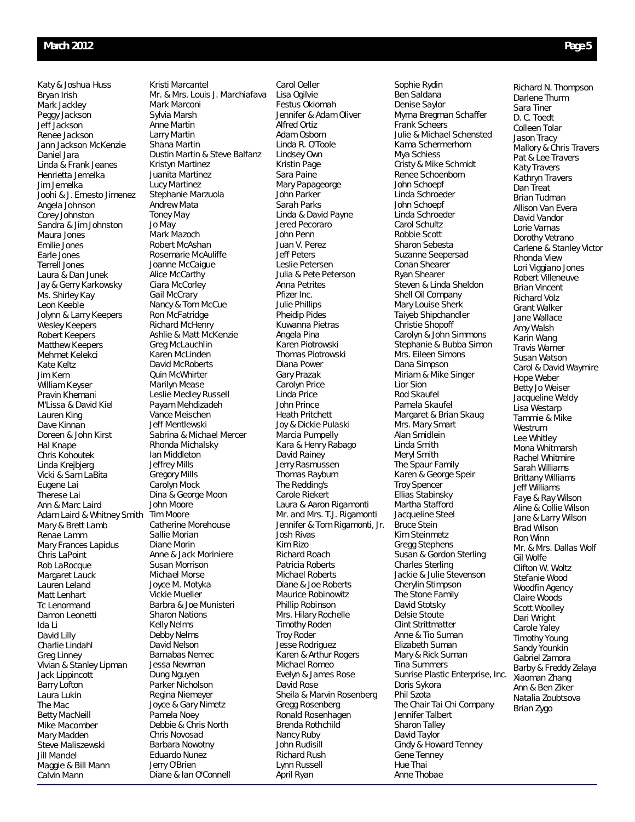Katy & Joshua Huss Bryan Irish Mark Jackley Peggy Jackson Jeff Jackson Renee Jackson Jann Jackson McKenzie Daniel Jara Linda & Frank Jeanes Henrietta Jemelka Jim Jemelka Joohi & J. Ernesto Jimenez Angela Johnson Corey Johnston Sandra & Jim Johnston Maura Jones Emilie Jones Earle Jones Terrell Jones Laura & Dan Junek Jay & Gerry Karkowsky Ms. Shirley Kay Leon Keeble Jolynn & Larry Keepers Wesley Keepers Robert Keepers Matthew Keepers Mehmet Kelekci Kate Keltz Jim Kern William Keyser Pravin Khemani M'Lissa & David Kiel Lauren King Dave Kinnan Doreen & John Kirst Hal Knape Chris Kohoutek Linda Krejbjerg Vicki & Sam LaBita Eugene Lai Therese Lai Ann & Marc Laird Adam Laird & Whitney Smith Mary & Brett Lamb Renae Lamm Mary Frances Lapidus Chris LaPoint Rob LaRocque Margaret Lauck Lauren Leland Matt Lenhart Tc Lenormand Damon Leonetti Ida Li David Lilly Charlie Lindahl Greg Linney Vivian & Stanley Lipman Jack Lippincott Barry Lofton Laura Lukin The Mac Betty MacNeill Mike Macomber Mary Madden Steve Maliszewski Jill Mandel Maggie & Bill Mann Calvin Mann

Kristi Marcantel Mr. & Mrs. Louis J. Marchiafava Mark Marconi Sylvia Marsh Anne Martin Larry Martin Shana Martin Dustin Martin & Steve Balfanz Kristyn Martinez Juanita Martinez Lucy Martinez Stephanie Marzuola Andrew Mata Toney May Jo May Mark Mazoch Robert McAshan Rosemarie McAuliffe Joanne McCaigue Alice McCarthy Ciara McCorley Gail McCrary Nancy & Tom McCue Ron McFatridge Richard McHenry Ashlie & Matt McKenzie Greg McLauchlin Karen McLinden David McRoberts Quin McWhirter Marilyn Mease Leslie Medley Russell Payam Mehdizadeh Vance Meischen Jeff Mentlewski Sabrina & Michael Mercer Rhonda Michalsky Ian Middleton Jeffrey Mills Gregory Mills Carolyn Mock Dina & George Moon John Moore Tim Moore Catherine Morehouse Sallie Morian Diane Morin Anne & Jack Moriniere Susan Morrison Michael Morse Joyce M. Motyka Vickie Mueller Barbra & Joe Munisteri Sharon Nations Kelly Nelms Debby Nelms David Nelson Barnabas Nemec Jessa Newman Dung Nguyen Parker Nicholson Regina Niemeyer Joyce & Gary Nimetz Pamela Noey Debbie & Chris North Chris Novosad Barbara Nowotny Eduardo Nunez Jerry O'Brien Diane & Ian O'Connell

Carol Oeller Lisa Ogilvie Festus Okiomah Jennifer & Adam Oliver Alfred Ortiz Adam Osborn Linda R. O'Toole Lindsey Own Kristin Page Sara Paine Mary Papageorge John Parker Sarah Parks Linda & David Payne Jered Pecoraro John Penn Juan V. Perez Jeff Peters Leslie Petersen Julia & Pete Peterson Anna Petrites Pfizer Inc. Julie Phillips Pheidip Pides Kuwanna Pietras Angela Pina Karen Piotrowski Thomas Piotrowski Diana Power Gary Prazak Carolyn Price Linda Price John Prince Heath Pritchett Joy & Dickie Pulaski Marcia Pumpelly Kara & Henry Rabago David Rainey Jerry Rasmussen Thomas Rayburn The Redding's Carole Riekert Laura & Aaron Rigamonti Mr. and Mrs. T.J. Rigamonti Jennifer & Tom Rigamonti, Jr. Josh Rivas Kim Rizo Richard Roach Patricia Roberts Michael Roberts Diane & Joe Roberts Maurice Robinowitz Phillip Robinson Mrs. Hilary Rochelle Timothy Roden Troy Roder Jesse Rodriguez Karen & Arthur Rogers Michael Romeo Evelyn & James Rose David Rose Sheila & Marvin Rosenberg Gregg Rosenberg Ronald Rosenhagen Brenda Rothchild Nancy Ruby John Rudisill Richard Rush Lynn Russell April Ryan

Sophie Rydin Ben Saldana Denise Saylor Myrna Bregman Schaffer Frank Scheers Julie & Michael Schensted Kama Schermerhorn Mya Schiess Cristy & Mike Schmidt Renee Schoenborn John Schoepf Linda Schroeder John Schoepf Linda Schroeder Carol Schultz Robbie Scott Sharon Sebesta Suzanne Seepersad Conan Shearer Ryan Shearer Steven & Linda Sheldon Shell Oil Company Mary Louise Sherk Taiyeb Shipchandler Christie Shopoff Carolyn & John Simmons Stephanie & Bubba Simon Mrs. Eileen Simons Dana Simpson Miriam & Mike Singer Lior Sion Rod Skaufel Pamela Skaufel Margaret & Brian Skaug Mrs. Mary Smart Alan Smidlein Linda Smith Meryl Smith The Spaur Family Karen & George Speir Troy Spencer Ellias Stabinsky Martha Stafford Jacqueline Steel Bruce Stein Kim Steinmetz Gregg Stephens Susan & Gordon Sterling Charles Sterling Jackie & Julie Stevenson Cherylin Stimpson The Stone Family David Stotsky Delsie Stoute Clint Strittmatter Anne & Tio Suman Elizabeth Suman Mary & Rick Suman Tina Summers Sunrise Plastic Enterprise, Inc. Doris Sykora Phil Szota The Chair Tai Chi Company Jennifer Talbert Sharon Talley David Taylor Cindy & Howard Tenney Gene Tenney Hue Thai Anne Thobae

Richard N. Thompson Darlene Thurm Sara Tiner D. C. Toedt Colleen Tolar Jason Tracy Mallory & Chris Travers Pat & Lee Travers Katy Travers Kathryn Travers Dan Treat Brian Tudman Allison Van Evera David Vandor Lorie Varnas Dorothy Vetrano Carlene & Stanley Victor Rhonda View Lori Viggiano Jones Robert Villeneuve Brian Vincent Richard Volz Grant Walker Jane Wallace Amy Walsh Karin Wang Travis Warner Susan Watson Carol & David Waymire Hope Weber Betty Jo Weiser Jacqueline Weldy Lisa Westarp Tammie & Mike Westrum Lee Whitley Mona Whitmarsh Rachel Whitmire Sarah Williams Brittany Williams Jeff Williams Faye & Ray Wilson Aline & Collie Wilson Jane & Larry Wilson Brad Wilson Ron Winn Mr. & Mrs. Dallas Wolf Gil Wolfe Clifton W. Woltz Stefanie Wood Woodfin Agency Claire Woods Scott Woolley Dari Wright Carole Yaley Timothy Young Sandy Younkin Gabriel Zamora Barby & Freddy Zelaya Xiaoman Zhang Ann & Ben Ziker Natalia Zoubtsova Brian Zygo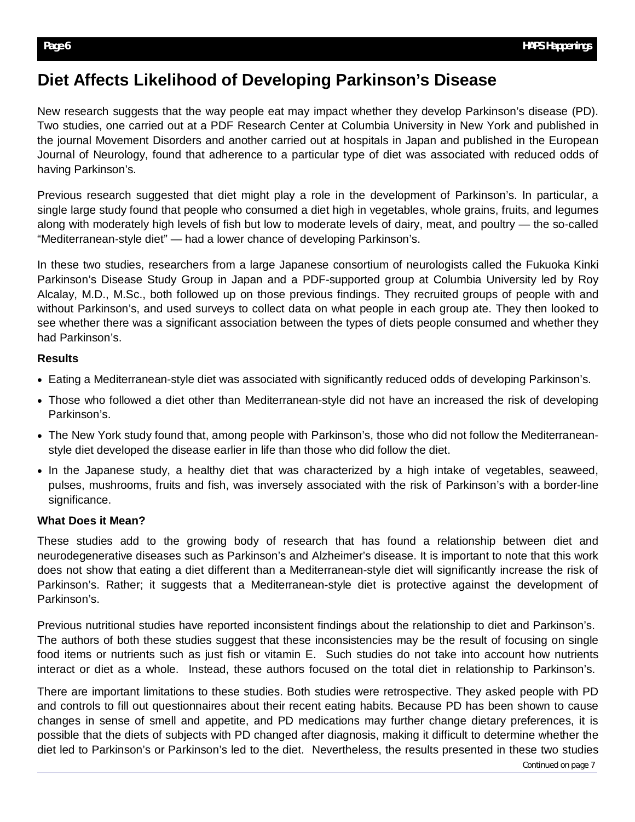# **Diet Affects Likelihood of Developing Parkinson's Disease**

New research suggests that the way people eat may impact whether they develop Parkinson's disease (PD). Two studies, one carried out at a PDF Research Center at Columbia University in New York and published in the journal Movement Disorders and another carried out at hospitals in Japan and published in the European Journal of Neurology, found that adherence to a particular type of diet was associated with reduced odds of having Parkinson's.

Previous research suggested that diet might play a role in the development of Parkinson's. In particular, a single large study found that people who consumed a diet high in vegetables, whole grains, fruits, and legumes along with moderately high levels of fish but low to moderate levels of dairy, meat, and poultry — the so-called "Mediterranean-style diet" — had a lower chance of developing Parkinson's.

In these two studies, researchers from a large Japanese consortium of neurologists called the Fukuoka Kinki Parkinson's Disease Study Group in Japan and a PDF-supported group at Columbia University led by Roy Alcalay, M.D., M.Sc., both followed up on those previous findings. They recruited groups of people with and without Parkinson's, and used surveys to collect data on what people in each group ate. They then looked to see whether there was a significant association between the types of diets people consumed and whether they had Parkinson's.

## **Results**

- Eating a Mediterranean-style diet was associated with significantly reduced odds of developing Parkinson's.
- Those who followed a diet other than Mediterranean-style did not have an increased the risk of developing Parkinson's.
- The New York study found that, among people with Parkinson's, those who did not follow the Mediterraneanstyle diet developed the disease earlier in life than those who did follow the diet.
- In the Japanese study, a healthy diet that was characterized by a high intake of vegetables, seaweed, pulses, mushrooms, fruits and fish, was inversely associated with the risk of Parkinson's with a border-line significance.

# **What Does it Mean?**

These studies add to the growing body of research that has found a relationship between diet and neurodegenerative diseases such as Parkinson's and Alzheimer's disease. It is important to note that this work does not show that eating a diet different than a Mediterranean-style diet will significantly increase the risk of Parkinson's. Rather; it suggests that a Mediterranean-style diet is protective against the development of Parkinson's.

Previous nutritional studies have reported inconsistent findings about the relationship to diet and Parkinson's. The authors of both these studies suggest that these inconsistencies may be the result of focusing on single food items or nutrients such as just fish or vitamin E. Such studies do not take into account how nutrients interact or diet as a whole. Instead, these authors focused on the total diet in relationship to Parkinson's.

There are important limitations to these studies. Both studies were retrospective. They asked people with PD and controls to fill out questionnaires about their recent eating habits. Because PD has been shown to cause changes in sense of smell and appetite, and PD medications may further change dietary preferences, it is possible that the diets of subjects with PD changed after diagnosis, making it difficult to determine whether the diet led to Parkinson's or Parkinson's led to the diet. Nevertheless, the results presented in these two studies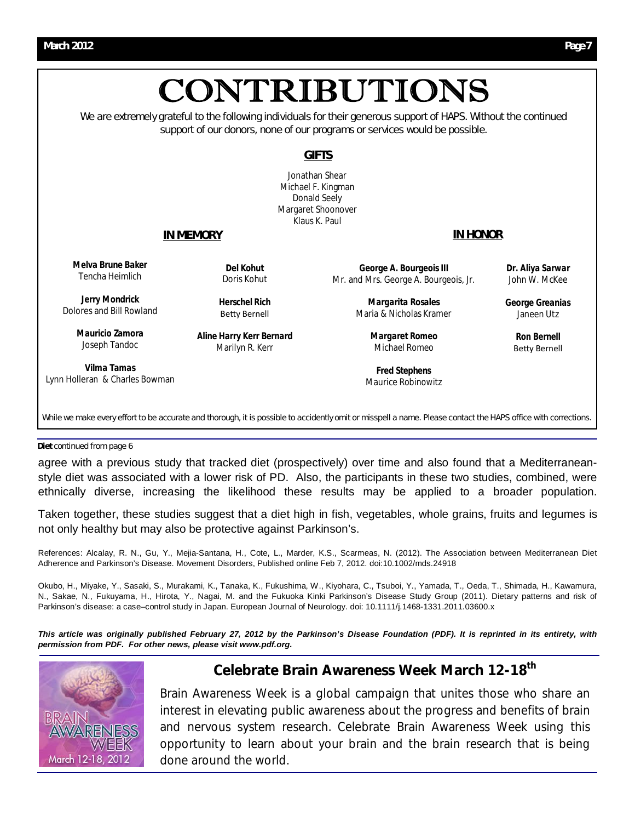

While we make every effort to be accurate and thorough, it is possible to accidently omit or misspell a name. Please contact the HAPS office with corrections.

**Diet** continued from page 6

agree with a previous study that tracked diet (prospectively) over time and also found that a Mediterraneanstyle diet was associated with a lower risk of PD. Also, the participants in these two studies, combined, were ethnically diverse, increasing the likelihood these results may be applied to a broader population.

Taken together, these studies suggest that a diet high in fish, vegetables, whole grains, fruits and legumes is not only healthy but may also be protective against Parkinson's.

References: Alcalay, R. N., Gu, Y., Mejia-Santana, H., Cote, L., Marder, K.S., Scarmeas, N. (2012). The Association between Mediterranean Diet Adherence and Parkinson's Disease. Movement Disorders, Published online Feb 7, 2012. doi:10.1002/mds.24918

Okubo, H., Miyake, Y., Sasaki, S., Murakami, K., Tanaka, K., Fukushima, W., Kiyohara, C., Tsuboi, Y., Yamada, T., Oeda, T., Shimada, H., Kawamura, N., Sakae, N., Fukuyama, H., Hirota, Y., Nagai, M. and the Fukuoka Kinki Parkinson's Disease Study Group (2011). Dietary patterns and risk of Parkinson's disease: a case-control study in Japan. European Journal of Neurology. doi: 10.1111/j.1468-1331.2011.03600.x

*This article was originally published February 27, 2012 by the Parkinson's Disease Foundation (PDF). It is reprinted in its entirety, with permission from PDF. For other news, please visit www.pdf.org.* 



# **Celebrate Brain Awareness Week March 12-18th**

Brain Awareness Week is a global campaign that unites those who share an interest in elevating public awareness about the progress and benefits of brain and nervous system research. Celebrate Brain Awareness Week using this opportunity to learn about your brain and the brain research that is being done around the world.